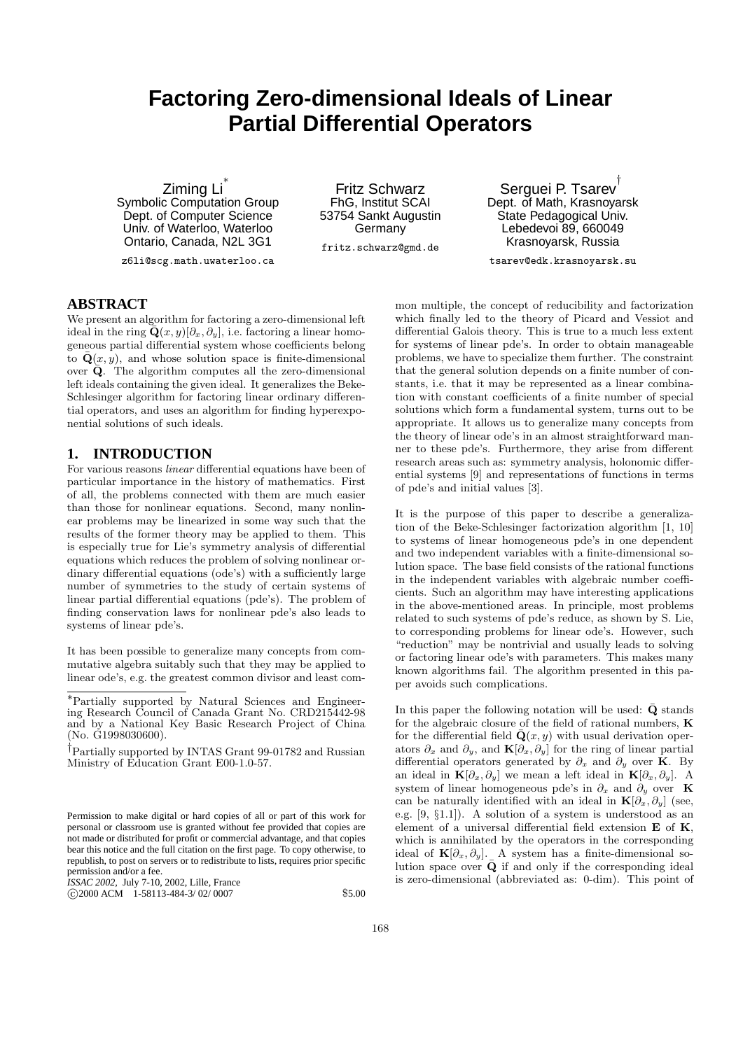# **Factoring Zero-dimensional Ideals of Linear Partial Differential Operators**

Ziming Li ∗ Symbolic Computation Group Dept. of Computer Science Univ. of Waterloo, Waterloo Ontario, Canada, N2L 3G1

z6li@scg.math.uwaterloo.ca

Fritz Schwarz FhG, Institut SCAI 53754 Sankt Augustin Germany

fritz.schwarz@gmd.de

Serguei P. Tsarev † Dept. of Math, Krasnoyarsk State Pedagogical Univ. Lebedevoi 89, 660049 Krasnoyarsk, Russia

tsarev@edk.krasnoyarsk.su

## **ABSTRACT**

We present an algorithm for factoring a zero-dimensional left ideal in the ring  $\bar{\mathbf{Q}}(x, y) [\partial_x, \partial_y]$ , i.e. factoring a linear homogeneous partial differential system whose coefficients belong to  $\bar{\mathbf{Q}}(x, y)$ , and whose solution space is finite-dimensional over  $\bar{Q}$ . The algorithm computes all the zero-dimensional left ideals containing the given ideal. It generalizes the Beke-Schlesinger algorithm for factoring linear ordinary differential operators, and uses an algorithm for finding hyperexponential solutions of such ideals.

## **1. INTRODUCTION**

For various reasons linear differential equations have been of particular importance in the history of mathematics. First of all, the problems connected with them are much easier than those for nonlinear equations. Second, many nonlinear problems may be linearized in some way such that the results of the former theory may be applied to them. This is especially true for Lie's symmetry analysis of differential equations which reduces the problem of solving nonlinear ordinary differential equations (ode's) with a sufficiently large number of symmetries to the study of certain systems of linear partial differential equations (pde's). The problem of finding conservation laws for nonlinear pde's also leads to systems of linear pde's.

It has been possible to generalize many concepts from commutative algebra suitably such that they may be applied to linear ode's, e.g. the greatest common divisor and least com-

*ISSAC 2002,* July 7-10, 2002, Lille, France c 2000 ACM 1-58113-484-3/ 02/ 0007 \$5.00

mon multiple, the concept of reducibility and factorization which finally led to the theory of Picard and Vessiot and differential Galois theory. This is true to a much less extent for systems of linear pde's. In order to obtain manageable problems, we have to specialize them further. The constraint that the general solution depends on a finite number of constants, i.e. that it may be represented as a linear combination with constant coefficients of a finite number of special solutions which form a fundamental system, turns out to be appropriate. It allows us to generalize many concepts from the theory of linear ode's in an almost straightforward manner to these pde's. Furthermore, they arise from different research areas such as: symmetry analysis, holonomic differential systems [9] and representations of functions in terms of pde's and initial values [3].

It is the purpose of this paper to describe a generalization of the Beke-Schlesinger factorization algorithm [1, 10] to systems of linear homogeneous pde's in one dependent and two independent variables with a finite-dimensional solution space. The base field consists of the rational functions in the independent variables with algebraic number coefficients. Such an algorithm may have interesting applications in the above-mentioned areas. In principle, most problems related to such systems of pde's reduce, as shown by S. Lie, to corresponding problems for linear ode's. However, such "reduction" may be nontrivial and usually leads to solving or factoring linear ode's with parameters. This makes many known algorithms fail. The algorithm presented in this paper avoids such complications.

In this paper the following notation will be used:  $\bar{\mathbf{Q}}$  stands for the algebraic closure of the field of rational numbers, K for the differential field  $\bar{Q}(x, y)$  with usual derivation operators  $\partial_x$  and  $\partial_y$ , and  $\mathbf{K}[\partial_x, \partial_y]$  for the ring of linear partial differential operators generated by  $\partial_x$  and  $\partial_y$  over K. By an ideal in  $\mathbf{K}[\partial_x, \partial_y]$  we mean a left ideal in  $\mathbf{K}[\partial_x, \partial_y]$ . A system of linear homogeneous pde's in  $\partial_x$  and  $\partial_y$  over K can be naturally identified with an ideal in  $\mathbf{K}[\partial_x, \partial_y]$  (see, e.g. [9, §1.1]). A solution of a system is understood as an element of a universal differential field extension E of K, which is annihilated by the operators in the corresponding ideal of  $\mathbf{K}[\partial_x,\partial_y]$ . A system has a finite-dimensional solution space over  $\bar{\mathbf{Q}}$  if and only if the corresponding ideal is zero-dimensional (abbreviated as: 0-dim). This point of

<sup>∗</sup>Partially supported by Natural Sciences and Engineering Research Council of Canada Grant No. CRD215442-98 and by a National Key Basic Research Project of China (No. G1998030600).

<sup>†</sup>Partially supported by INTAS Grant 99-01782 and Russian Ministry of Education Grant E00-1.0-57.

Permission to make digital or hard copies of all or part of this work for personal or classroom use is granted without fee provided that copies are not made or distributed for profit or commercial advantage, and that copies bear this notice and the full citation on the first page. To copy otherwise, to republish, to post on servers or to redistribute to lists, requires prior specific permission and/or a fee.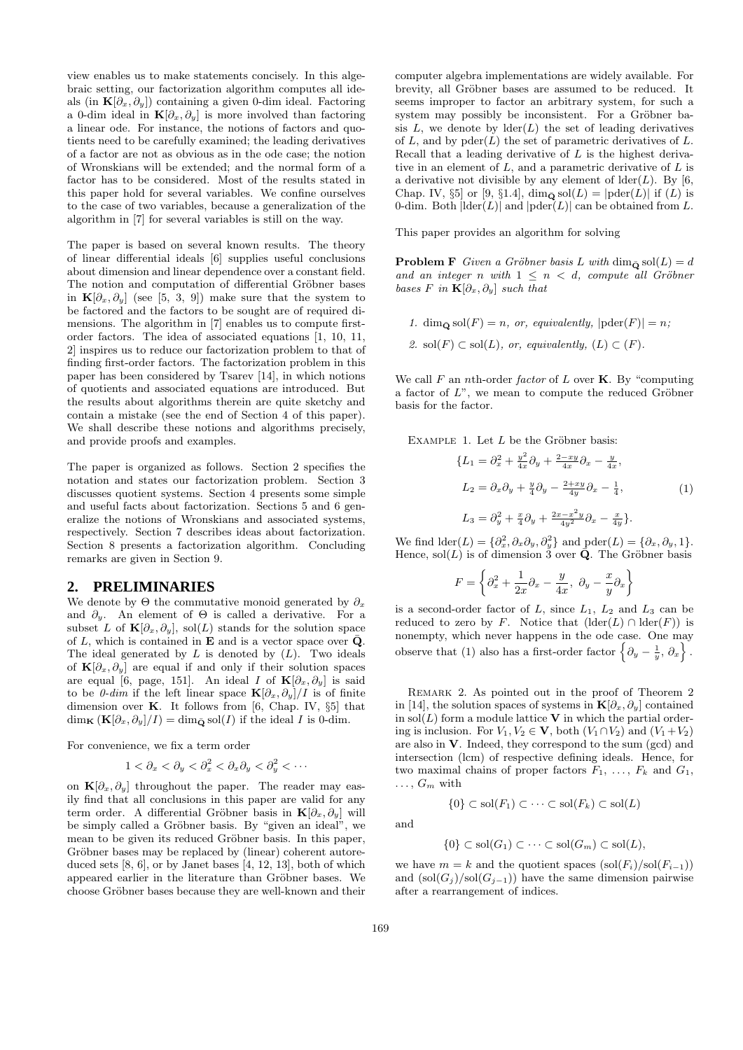view enables us to make statements concisely. In this algebraic setting, our factorization algorithm computes all ideals (in  $\mathbf{K}[\partial_x, \partial_y]$ ) containing a given 0-dim ideal. Factoring a 0-dim ideal in  $\mathbf{K}[\partial_x, \partial_y]$  is more involved than factoring a linear ode. For instance, the notions of factors and quotients need to be carefully examined; the leading derivatives of a factor are not as obvious as in the ode case; the notion of Wronskians will be extended; and the normal form of a factor has to be considered. Most of the results stated in this paper hold for several variables. We confine ourselves to the case of two variables, because a generalization of the algorithm in [7] for several variables is still on the way.

The paper is based on several known results. The theory of linear differential ideals [6] supplies useful conclusions about dimension and linear dependence over a constant field. The notion and computation of differential Gröbner bases in  $\mathbf{K}[\partial_x,\partial_y]$  (see [5, 3, 9]) make sure that the system to be factored and the factors to be sought are of required dimensions. The algorithm in [7] enables us to compute firstorder factors. The idea of associated equations [1, 10, 11, 2] inspires us to reduce our factorization problem to that of finding first-order factors. The factorization problem in this paper has been considered by Tsarev [14], in which notions of quotients and associated equations are introduced. But the results about algorithms therein are quite sketchy and contain a mistake (see the end of Section 4 of this paper). We shall describe these notions and algorithms precisely, and provide proofs and examples.

The paper is organized as follows. Section 2 specifies the notation and states our factorization problem. Section 3 discusses quotient systems. Section 4 presents some simple and useful facts about factorization. Sections 5 and 6 generalize the notions of Wronskians and associated systems, respectively. Section 7 describes ideas about factorization. Section 8 presents a factorization algorithm. Concluding remarks are given in Section 9.

## **2. PRELIMINARIES**

We denote by  $\Theta$  the commutative monoid generated by  $\partial_x$ and  $\partial_y$ . An element of  $\Theta$  is called a derivative. For a subset L of  $\mathbf{K}[\partial_x, \partial_y]$ , sol(L) stands for the solution space of L, which is contained in **E** and is a vector space over  $\bar{\mathbf{Q}}$ . The ideal generated by  $L$  is denoted by  $(L)$ . Two ideals of  $\mathbf{K}[\partial_x, \partial_y]$  are equal if and only if their solution spaces are equal [6, page, 151]. An ideal I of  $\mathbf{K}[\partial_x, \partial_y]$  is said to be 0-dim if the left linear space  $\mathbf{K}[\partial_x, \partial_y]/I$  is of finite dimension over  $K$ . It follows from [6, Chap. IV, §5] that  $\dim_{\mathbf{K}} (\mathbf{K}[\partial_x, \partial_y]/I) = \dim_{\bar{\mathbf{Q}}} \text{sol}(I)$  if the ideal I is 0-dim.

For convenience, we fix a term order

$$
1 < \partial_x < \partial_y < \partial_x^2 < \partial_x \partial_y < \partial_y^2 < \cdots
$$

on  $\mathbf{K}[\partial_x, \partial_y]$  throughout the paper. The reader may easily find that all conclusions in this paper are valid for any term order. A differential Gröbner basis in  $\mathbf{K}[\partial_x, \partial_y]$  will be simply called a Gröbner basis. By "given an ideal", we mean to be given its reduced Gröbner basis. In this paper, Gröbner bases may be replaced by (linear) coherent autoreduced sets  $[8, 6]$ , or by Janet bases  $[4, 12, 13]$ , both of which appeared earlier in the literature than Gröbner bases. We choose Gröbner bases because they are well-known and their

computer algebra implementations are widely available. For brevity, all Gröbner bases are assumed to be reduced. It seems improper to factor an arbitrary system, for such a system may possibly be inconsistent. For a Gröbner basis  $L$ , we denote by  $\text{lder}(L)$  the set of leading derivatives of  $L$ , and by  $pder(L)$  the set of parametric derivatives of  $L$ . Recall that a leading derivative of  $L$  is the highest derivative in an element of  $L$ , and a parametric derivative of  $L$  is a derivative not divisible by any element of  $lder(L)$ . By [6, Chap. IV, §5] or [9, §1.4],  $\dim_{\bar{\mathbf{Q}}} \text{sol}(L) = |\text{pder}(L)|$  if  $(L)$  is 0-dim. Both  $|\text{lder}(L)|$  and  $|\text{pder}(L)|$  can be obtained from L.

This paper provides an algorithm for solving

**Problem F** Given a Gröbner basis L with  $\dim_{\bar{\mathbf{Q}}}$  sol $(L) = d$ and an integer n with  $1 \leq n \leq d$ , compute all Gröbner bases F in  $\mathbf{K}[\partial_x, \partial_y]$  such that

1.  $\dim_{\bar{\mathbf{O}}}$  sol $(F) = n$ , or, equivalently,  $|\text{pder}(F)| = n$ ; 2. sol $(F) \subset sol(L)$ , or, equivalently,  $(L) \subset F$ ).

We call  $F$  an *n*th-order *factor* of  $L$  over  $K$ . By "computing a factor of  $L$ ", we mean to compute the reduced Gröbner basis for the factor.

EXAMPLE 1. Let  $L$  be the Gröbner basis:

$$
\{L_1 = \partial_x^2 + \frac{y^2}{4x}\partial_y + \frac{2-xy}{4x}\partial_x - \frac{y}{4x}, \nL_2 = \partial_x \partial_y + \frac{y}{4}\partial_y - \frac{2+xy}{4y}\partial_x - \frac{1}{4}, \nL_3 = \partial_y^2 + \frac{x}{4}\partial_y + \frac{2x-x^2y}{4y^2}\partial_x - \frac{x}{4y}\}.
$$
\n(1)

We find  $\text{lder}(L) = \{\partial_x^2, \partial_x \partial_y, \partial_y^2\}$  and  $\text{pder}(L) = \{\partial_x, \partial_y, 1\}.$ Hence, sol $(L)$  is of dimension 3 over  $\overline{\mathbf{Q}}$ . The Gröbner basis

$$
F = \left\{\partial_x^2 + \frac{1}{2x}\partial_x - \frac{y}{4x}, \ \partial_y - \frac{x}{y}\partial_x\right\}
$$

is a second-order factor of  $L$ , since  $L_1$ ,  $L_2$  and  $L_3$  can be reduced to zero by F. Notice that  $(\text{lder}(L) \cap \text{lder}(F))$  is nonempty, which never happens in the ode case. One may observe that (1) also has a first-order factor  $\{\partial_y - \frac{1}{y}, \partial_x\}.$ 

Remark 2. As pointed out in the proof of Theorem 2 in [14], the solution spaces of systems in  $\mathbf{K}[\partial_x, \partial_y]$  contained in  $\text{sol}(L)$  form a module lattice V in which the partial ordering is inclusion. For  $V_1, V_2 \in V$ , both  $(V_1 \cap V_2)$  and  $(V_1 + V_2)$ are also in V. Indeed, they correspond to the sum (gcd) and intersection (lcm) of respective defining ideals. Hence, for two maximal chains of proper factors  $F_1, \ldots, F_k$  and  $G_1$ ,  $\ldots, G_m$  with

and

$$
\{0\} \subset \mathrm{sol}(F_1) \subset \cdots \subset \mathrm{sol}(F_k) \subset \mathrm{sol}(L)
$$

$$
\{0\} \subset \mathrm{sol}(G_1) \subset \cdots \subset \mathrm{sol}(G_m) \subset \mathrm{sol}(L),
$$

we have  $m = k$  and the quotient spaces  $(\text{sol}(F_i)/\text{sol}(F_{i-1}))$ and  $(sol(G_i)/sol(G_{i-1}))$  have the same dimension pairwise after a rearrangement of indices.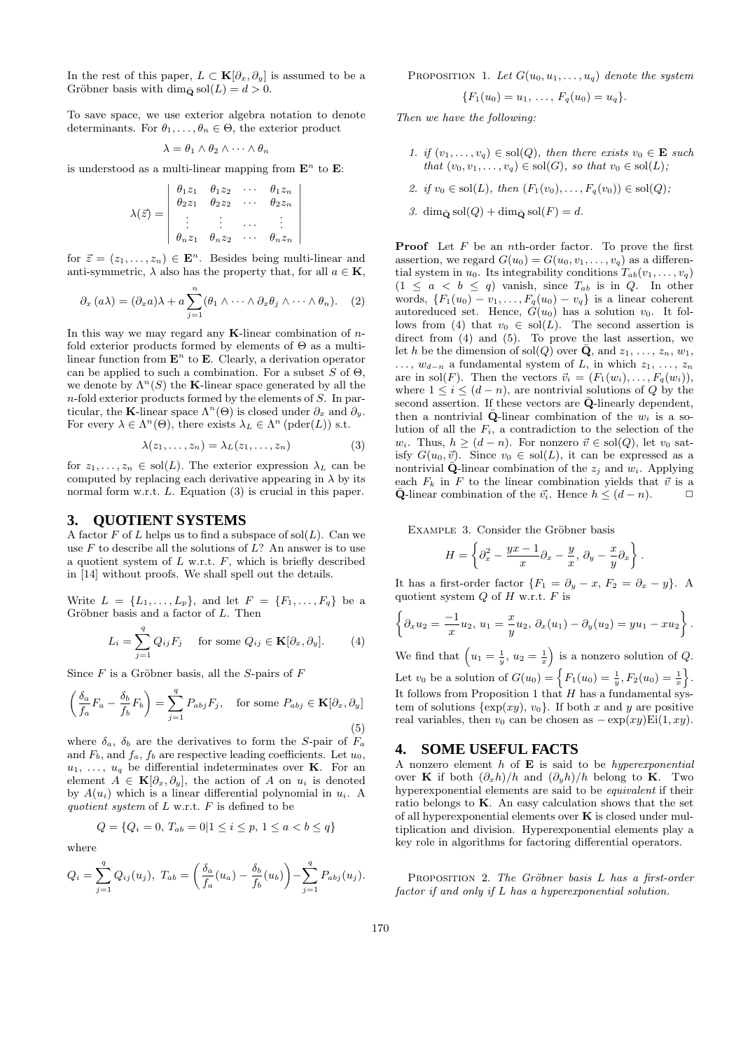In the rest of this paper,  $L \subset \mathbf{K}[\partial_x, \partial_y]$  is assumed to be a Gröbner basis with dim<sub> $\bar{Q}$ </sub> sol $(L) = d > 0$ .

To save space, we use exterior algebra notation to denote determinants. For  $\theta_1, \ldots, \theta_n \in \Theta$ , the exterior product

$$
\lambda = \theta_1 \wedge \theta_2 \wedge \cdots \wedge \theta_n
$$

is understood as a multi-linear mapping from  $\mathbf{E}^n$  to  $\mathbf{E}$ :

$$
\lambda(\vec{z}) = \begin{vmatrix}\n\theta_1 z_1 & \theta_1 z_2 & \cdots & \theta_1 z_n \\
\theta_2 z_1 & \theta_2 z_2 & \cdots & \theta_2 z_n \\
\vdots & \vdots & \cdots & \vdots \\
\theta_n z_1 & \theta_n z_2 & \cdots & \theta_n z_n\n\end{vmatrix}
$$

 $\overline{\phantom{a}}$  $\overline{\phantom{a}}$  $\bigg\}$  $\overline{\phantom{a}}$  $\overline{\phantom{a}}$  $\bigg\}$  $\overline{\phantom{a}}$  $\overline{\phantom{a}}$  $\overline{\phantom{a}}$ 

for  $\vec{z} = (z_1, \ldots, z_n) \in \mathbf{E}^n$ . Besides being multi-linear and anti-symmetric,  $\lambda$  also has the property that, for all  $a \in \mathbf{K}$ ,

$$
\partial_x (a\lambda) = (\partial_x a)\lambda + a \sum_{j=1}^n (\theta_1 \wedge \cdots \wedge \partial_x \theta_j \wedge \cdots \wedge \theta_n).
$$
 (2)

In this way we may regard any  $\mathbf{K}\text{-linear combination of }n\text{-}$ fold exterior products formed by elements of Θ as a multilinear function from  $\mathbf{E}^n$  to  $\mathbf{E}$ . Clearly, a derivation operator can be applied to such a combination. For a subset  $S$  of  $\Theta$ , we denote by  $\Lambda^n(S)$  the **K**-linear space generated by all the  $n$ -fold exterior products formed by the elements of  $S$ . In particular, the K-linear space  $\Lambda^{n}(\Theta)$  is closed under  $\partial_{x}$  and  $\partial_{y}$ . For every  $\lambda \in \Lambda^n(\Theta)$ , there exists  $\lambda_L \in \Lambda^n$  (pder(L)) s.t.

$$
\lambda(z_1,\ldots,z_n)=\lambda_L(z_1,\ldots,z_n) \tag{3}
$$

for  $z_1, \ldots, z_n \in sol(L)$ . The exterior expression  $\lambda_L$  can be computed by replacing each derivative appearing in  $\lambda$  by its normal form w.r.t. L. Equation (3) is crucial in this paper.

## **3. QUOTIENT SYSTEMS**

A factor  $F$  of  $L$  helps us to find a subspace of  $\text{sol}(L)$ . Can we use  $F$  to describe all the solutions of  $L$ ? An answer is to use a quotient system of  $L$  w.r.t.  $F$ , which is briefly described in [14] without proofs. We shall spell out the details.

Write  $L = \{L_1, ..., L_p\}$ , and let  $F = \{F_1, ..., F_q\}$  be a Gröbner basis and a factor of  $L$ . Then

$$
L_i = \sum_{j=1}^{q} Q_{ij} F_j \quad \text{for some } Q_{ij} \in \mathbf{K}[\partial_x, \partial_y]. \tag{4}
$$

Since  $F$  is a Gröbner basis, all the S-pairs of  $F$ 

$$
\left(\frac{\delta_a}{f_a}F_a - \frac{\delta_b}{f_b}F_b\right) = \sum_{j=1}^q P_{abj}F_j, \text{ for some } P_{abj} \in \mathbf{K}[\partial_x, \partial_y]
$$
\n(5)

where  $\delta_a$ ,  $\delta_b$  are the derivatives to form the S-pair of  $F_a$ and  $F_b$ , and  $f_a$ ,  $f_b$  are respective leading coefficients. Let  $u_0$ ,  $u_1, \ldots, u_q$  be differential indeterminates over **K**. For an element  $A \in \mathbf{K}[\partial_x, \partial_y]$ , the action of A on  $u_i$  is denoted by  $A(u_i)$  which is a linear differential polynomial in  $u_i$ . A quotient system of  $L$  w.r.t.  $F$  is defined to be

$$
Q = \{Q_i = 0, T_{ab} = 0 | 1 \le i \le p, 1 \le a < b \le q\}
$$

where

$$
Q_i = \sum_{j=1}^q Q_{ij}(u_j), \ T_{ab} = \left(\frac{\delta_a}{f_a}(u_a) - \frac{\delta_b}{f_b}(u_b)\right) - \sum_{j=1}^q P_{abj}(u_j).
$$

PROPOSITION 1. Let  $G(u_0, u_1, \ldots, u_q)$  denote the system

$$
\{F_1(u_0)=u_1,\ldots,F_q(u_0)=u_q\}.
$$

Then we have the following:

- 1. if  $(v_1, \ldots, v_q) \in sol(Q)$ , then there exists  $v_0 \in \mathbf{E}$  such that  $(v_0, v_1, \ldots, v_q) \in sol(G)$ , so that  $v_0 \in sol(L)$ ;
- 2. if  $v_0 \in sol(L)$ , then  $(F_1(v_0), \ldots, F_q(v_0)) \in sol(Q)$ ;
- 3. dim<sub> $\bar{\mathbf{o}}$ </sub> sol $(Q)$  + dim<sub> $\bar{\mathbf{o}}$ </sub> sol $(F) = d$ .

**Proof** Let  $F$  be an *n*th-order factor. To prove the first assertion, we regard  $G(u_0) = G(u_0, v_1, \ldots, v_q)$  as a differential system in  $u_0$ . Its integrability conditions  $T_{ab}(v_1,\ldots,v_q)$  $(1 \leq a < b \leq q)$  vanish, since  $T_{ab}$  is in Q. In other words,  $\{F_1(u_0) - v_1, \ldots, F_q(u_0) - v_q\}$  is a linear coherent autoreduced set. Hence,  $G(u_0)$  has a solution  $v_0$ . It follows from (4) that  $v_0 \in sol(L)$ . The second assertion is direct from (4) and (5). To prove the last assertion, we let h be the dimension of sol(Q) over  $\bar{\mathbf{Q}}$ , and  $z_1, \ldots, z_n, w_1$ ,  $\ldots, w_{d-n}$  a fundamental system of L, in which  $z_1, \ldots, z_n$ are in sol(F). Then the vectors  $\vec{v}_i = (F_1(w_i), \ldots, F_q(w_i)),$ where  $1 \leq i \leq (d-n)$ , are nontrivial solutions of Q by the second assertion. If these vectors are  $\bar{Q}$ -linearly dependent, then a nontrivial  $\bar{\mathbf{Q}}$ -linear combination of the  $w_i$  is a solution of all the  $F_i$ , a contradiction to the selection of the  $w_i$ . Thus,  $h \geq (d - n)$ . For nonzero  $\vec{v} \in \text{sol}(Q)$ , let  $v_0$  satisfy  $G(u_0, \vec{v})$ . Since  $v_0 \in sol(L)$ , it can be expressed as a nontrivial  $\bar{\mathbf{Q}}$ -linear combination of the  $z_i$  and  $w_i$ . Applying each  $F_k$  in F to the linear combination yields that  $\vec{v}$  is a  $\bar{\mathbf{Q}}$ -linear combination of the  $\vec{v_i}$ . Hence  $h \leq (d-n)$ .  $\Box$ 

EXAMPLE 3. Consider the Gröbner basis

$$
H = \left\{\partial_x^2 - \frac{yx - 1}{x}\partial_x - \frac{y}{x}, \, \partial_y - \frac{x}{y}\partial_x\right\}.
$$

It has a first-order factor  $\{F_1 = \partial_y - x, F_2 = \partial_x - y\}$ . A quotient system  $Q$  of  $H$  w.r.t.  $F$  is

$$
\left\{\partial_x u_2 = \frac{-1}{x}u_2, u_1 = \frac{x}{y}u_2, \ \partial_x(u_1) - \partial_y(u_2) = yu_1 - xu_2\right\}.
$$

We find that  $\left(u_1 = \frac{1}{y}, u_2 = \frac{1}{x}\right)$  is a nonzero solution of Q. Let  $v_0$  be a solution of  $G(u_0) = \left\{ F_1(u_0) = \frac{1}{y}, F_2(u_0) = \frac{1}{x} \right\}.$ It follows from Proposition 1 that  $H$  has a fundamental system of solutions  $\{\exp(xy), v_0\}$ . If both x and y are positive real variables, then  $v_0$  can be chosen as  $-\exp(xy) \text{Ei}(1, xy)$ .

## **4. SOME USEFUL FACTS**

A nonzero element  $h$  of  $E$  is said to be *hyperexponential* over K if both  $(\partial_x h)/h$  and  $(\partial_y h)/h$  belong to K. Two hyperexponential elements are said to be equivalent if their ratio belongs to  $K$ . An easy calculation shows that the set of all hyperexponential elements over  $K$  is closed under multiplication and division. Hyperexponential elements play a key role in algorithms for factoring differential operators.

PROPOSITION 2. The Gröbner basis  $L$  has a first-order factor if and only if L has a hyperexponential solution.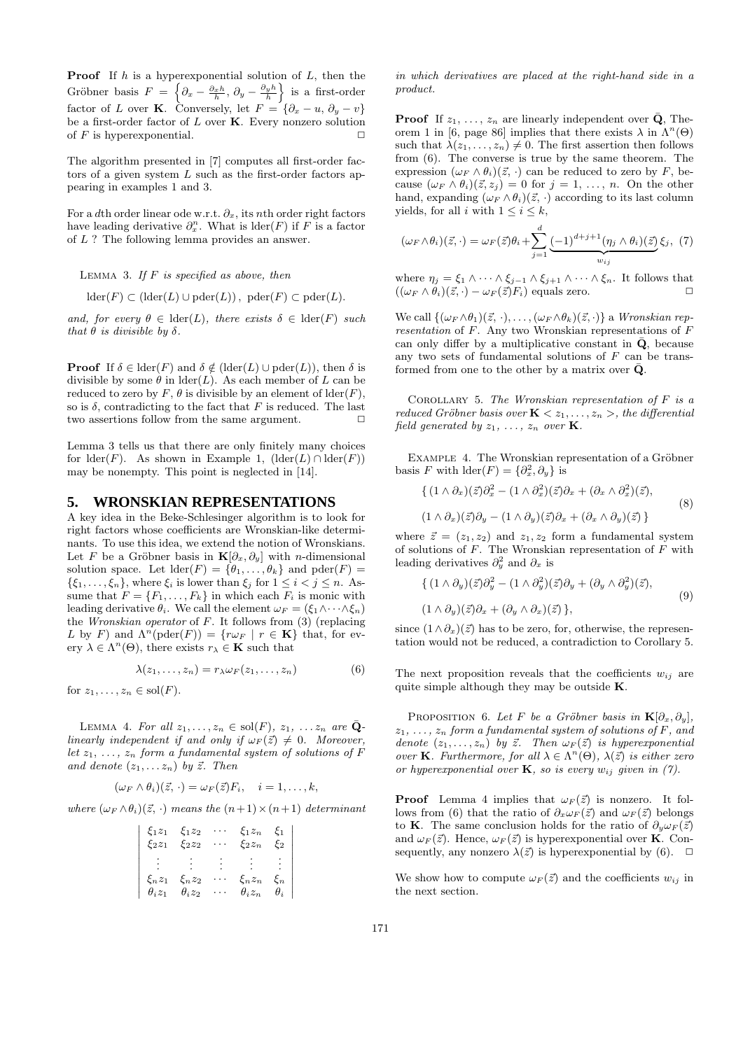**Proof** If  $h$  is a hyperexponential solution of  $L$ , then the Gröbner basis  $F = \left\{\partial_x - \frac{\partial_x h}{h}, \partial_y - \frac{\partial_y h}{h}\right\}$  is a first-order factor of L over K. Conversely, let  $F = \{ \partial_x - u, \partial_y - v \}$ be a first-order factor of  $L$  over  $K$ . Every nonzero solution of F is hyperexponential.  $\square$ 

The algorithm presented in [7] computes all first-order factors of a given system  $L$  such as the first-order factors appearing in examples 1 and 3.

For a dth order linear ode w.r.t.  $\partial_x$ , its nth order right factors have leading derivative  $\partial_x^n$ . What is  $\text{lder}(F)$  if F is a factor of L ? The following lemma provides an answer.

LEMMA 3. If  $F$  is specified as above, then

 $\mathrm{lder}(F) \subset (\mathrm{lder}(L) \cup \mathrm{pder}(L)), \ \mathrm{pder}(F) \subset \mathrm{pder}(L).$ 

and, for every  $\theta \in \text{lder}(L)$ , there exists  $\delta \in \text{lder}(F)$  such that  $\theta$  is divisible by  $\delta$ .

**Proof** If  $\delta \in \text{lder}(F)$  and  $\delta \notin (\text{lder}(L) \cup \text{pder}(L))$ , then  $\delta$  is divisible by some  $\theta$  in  $\text{lder}(L)$ . As each member of L can be reduced to zero by F,  $\theta$  is divisible by an element of  $\text{lder}(F)$ , so is  $\delta$ , contradicting to the fact that F is reduced. The last two assertions follow from the same argument.  $\Box$ 

Lemma 3 tells us that there are only finitely many choices for  $lder(F)$ . As shown in Example 1,  $lder(L) \cap \text{lder}(F)$ may be nonempty. This point is neglected in [14].

#### **5. WRONSKIAN REPRESENTATIONS**

A key idea in the Beke-Schlesinger algorithm is to look for right factors whose coefficients are Wronskian-like determinants. To use this idea, we extend the notion of Wronskians. Let F be a Gröbner basis in  $\mathbf{K}[\partial_x, \partial_y]$  with *n*-dimensional solution space. Let  $\text{lder}(F) = \{\theta_1, \ldots, \theta_k\}$  and  $\text{pder}(F) =$  $\{\xi_1,\ldots,\xi_n\}$ , where  $\xi_i$  is lower than  $\xi_j$  for  $1 \leq i < j \leq n$ . Assume that  $F = \{F_1, \ldots, F_k\}$  in which each  $F_i$  is monic with leading derivative  $\theta_i$ . We call the element  $\omega_F = (\xi_1 \wedge \cdots \wedge \xi_n)$ the *Wronskian operator* of  $F$ . It follows from  $(3)$  (replacing L by F) and  $\Lambda^{n}(\text{pder}(F)) = \{r \omega_F \mid r \in \mathbf{K}\}\)$  that, for every  $\lambda \in \Lambda^n(\Theta)$ , there exists  $r_{\lambda} \in \mathbf{K}$  such that

$$
\lambda(z_1,\ldots,z_n)=r_{\lambda}\omega_F(z_1,\ldots,z_n) \qquad \qquad (6)
$$

 $\bigg|$  $\overline{\phantom{a}}$  $\frac{1}{2}$  $\overline{\phantom{a}}$  $\overline{\phantom{a}}$  $\bigg\}$  $\overline{\phantom{a}}$  $\frac{1}{2}$  $\bigg\}$  $\overline{\phantom{a}}$  $\overline{\phantom{a}}$ 

for  $z_1, \ldots, z_n \in \text{sol}(F)$ .

LEMMA 4. For all  $z_1, \ldots, z_n \in sol(F)$ ,  $z_1, \ldots z_n$  are  $\overline{Q}$ linearly independent if and only if  $\omega_F(\vec{z}) \neq 0$ . Moreover, let  $z_1, \ldots, z_n$  form a fundamental system of solutions of F and denote  $(z_1, \ldots z_n)$  by  $\vec{z}$ . Then

$$
(\omega_F \wedge \theta_i)(\vec{z}, \cdot) = \omega_F(\vec{z})F_i, \quad i = 1, \dots, k,
$$

where  $(\omega_F \wedge \theta_i)(\vec{z}, \cdot)$  means the  $(n+1) \times (n+1)$  determinant

| $\xi_2 z_1$ $\xi_2 z_2$           | $\xi_1 z_1 \quad \xi_1 z_2$ | $\xi_1 z_n \xi_1$<br>$\xi_2 z_n \xi_2$ |  |
|-----------------------------------|-----------------------------|----------------------------------------|--|
|                                   |                             |                                        |  |
| $\xi_n z_1$                       | $\xi_n z_2$                 | $\xi_n z_n \xi_n$                      |  |
| $\theta_i z_1 \quad \theta_i z_2$ |                             | $\theta_i z_n \quad \theta_i$          |  |

in which derivatives are placed at the right-hand side in a product.

**Proof** If  $z_1, \ldots, z_n$  are linearly independent over  $\bar{Q}$ , Theorem 1 in [6, page 86] implies that there exists  $\lambda$  in  $\Lambda^n(\Theta)$ such that  $\lambda(z_1, \ldots, z_n) \neq 0$ . The first assertion then follows from (6). The converse is true by the same theorem. The expression  $(\omega_F \wedge \theta_i)(\vec{z}, \cdot)$  can be reduced to zero by F, because  $(\omega_F \wedge \theta_i)(\vec{z}, z_j) = 0$  for  $j = 1, \ldots, n$ . On the other hand, expanding  $(\omega_F \wedge \theta_i)(\vec{z}, \cdot)$  according to its last column yields, for all i with  $1 \leq i \leq k$ ,

$$
(\omega_F \wedge \theta_i)(\vec{z}, \cdot) = \omega_F(\vec{z})\theta_i + \sum_{j=1}^d \underbrace{(-1)^{d+j+1}(\eta_j \wedge \theta_i)(\vec{z})}_{w_{ij}}\xi_j, (7)
$$

where  $\eta_j = \xi_1 \wedge \cdots \wedge \xi_{j-1} \wedge \xi_{j+1} \wedge \cdots \wedge \xi_n$ . It follows that  $((\omega_F \wedge \theta_i)(\vec{z},\cdot) - \omega_F(\vec{z})F_i)$  equals zero.

We call  $\{(\omega_F \wedge \theta_1)(\vec{z}, \cdot), \ldots, (\omega_F \wedge \theta_k)(\vec{z}, \cdot)\}\$ a Wronskian rep- $\it{resentation$  of  $F.$  Any two Wronskian representations of  $F$ can only differ by a multiplicative constant in  $\bar{Q}$ , because any two sets of fundamental solutions of  $F$  can be transformed from one to the other by a matrix over  $\bar{\mathbf{Q}}$ .

COROLLARY 5. The Wronskian representation of  $F$  is a reduced Gröbner basis over  $\mathbf{K} \leq z_1, \ldots, z_n >$ , the differential field generated by  $z_1, \ldots, z_n$  over **K**.

EXAMPLE 4. The Wronskian representation of a Gröbner basis F with  $\text{lder}(F) = \{\partial_x^2, \partial_y\}$  is

$$
\begin{aligned} \left\{ (1 \wedge \partial_x)(\vec{z}) \partial_x^2 - (1 \wedge \partial_x^2)(\vec{z}) \partial_x + (\partial_x \wedge \partial_x^2)(\vec{z}), \right. \\ (1 \wedge \partial_x)(\vec{z}) \partial_y - (1 \wedge \partial_y)(\vec{z}) \partial_x + (\partial_x \wedge \partial_y)(\vec{z}) \right\} \end{aligned} \tag{8}
$$

where  $\vec{z} = (z_1, z_2)$  and  $z_1, z_2$  form a fundamental system of solutions of  $F$ . The Wronskian representation of  $F$  with leading derivatives  $\partial_y^2$  and  $\partial_x$  is

$$
\begin{aligned} \{ \left( 1 \wedge \partial_y \right) (\vec{z}) \partial_y^2 - (1 \wedge \partial_y^2)(\vec{z}) \partial_y + (\partial_y \wedge \partial_y^2)(\vec{z}), \\ (1 \wedge \partial_y)(\vec{z}) \partial_x + (\partial_y \wedge \partial_x)(\vec{z}) \}, \end{aligned} \tag{9}
$$

since  $(1 \wedge \partial_x)(\vec{z})$  has to be zero, for, otherwise, the representation would not be reduced, a contradiction to Corollary 5.

The next proposition reveals that the coefficients  $w_{ij}$  are quite simple although they may be outside  $K$ .

PROPOSITION 6. Let F be a Gröbner basis in  $\mathbf{K}[\partial_x, \partial_y]$ ,  $z_1, \ldots, z_n$  form a fundamental system of solutions of F, and denote  $(z_1, \ldots, z_n)$  by  $\vec{z}$ . Then  $\omega_F(\vec{z})$  is hyperexponential over **K**. Furthermore, for all  $\lambda \in \Lambda^n(\Theta)$ ,  $\lambda(\vec{z})$  is either zero or hyperexponential over  $\mathbf{K}$ , so is every  $w_{ij}$  given in (7).

**Proof** Lemma 4 implies that  $\omega_F(\vec{z})$  is nonzero. It follows from (6) that the ratio of  $\partial_x \omega_F(\vec{z})$  and  $\omega_F(\vec{z})$  belongs to K. The same conclusion holds for the ratio of  $\partial_{\nu} \omega_F(\vec{z})$ and  $\omega_F(\vec{z})$ . Hence,  $\omega_F(\vec{z})$  is hyperexponential over **K**. Consequently, any nonzero  $\lambda(\vec{z})$  is hyperexponential by (6).  $\Box$ 

We show how to compute  $\omega_F(\vec{z})$  and the coefficients  $w_{ij}$  in the next section.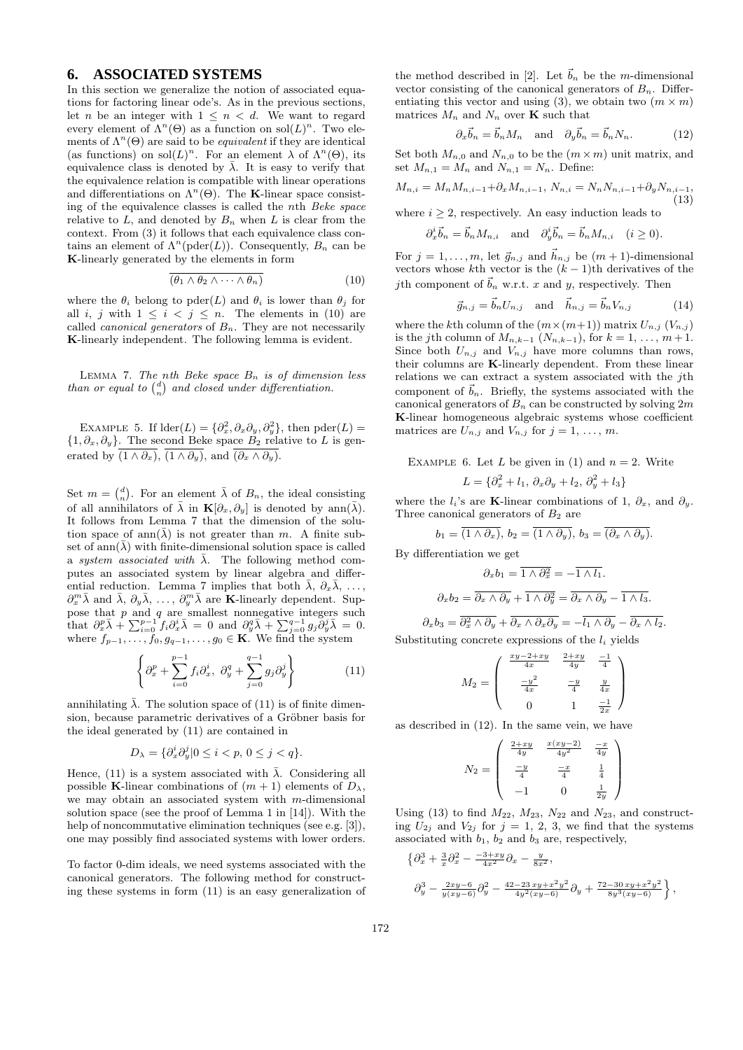# **6. ASSOCIATED SYSTEMS**

In this section we generalize the notion of associated equations for factoring linear ode's. As in the previous sections, let *n* be an integer with  $1 \leq n \leq d$ . We want to regard every element of  $\Lambda^n(\Theta)$  as a function on  $\text{sol}(L)^n$ . Two elements of  $\Lambda^n(\Theta)$  are said to be *equivalent* if they are identical (as functions) on  $\text{sol}(L)^n$ . For an element  $\lambda$  of  $\Lambda^n(\Theta)$ , its equivalence class is denoted by  $\overline{\lambda}$ . It is easy to verify that the equivalence relation is compatible with linear operations and differentiations on  $\Lambda^n(\Theta)$ . The **K**-linear space consisting of the equivalence classes is called the nth Beke space relative to  $L$ , and denoted by  $B_n$  when  $L$  is clear from the context. From (3) it follows that each equivalence class contains an element of  $\Lambda^n(\text{pder}(L))$ . Consequently,  $B_n$  can be K-linearly generated by the elements in form

$$
\overline{(\theta_1 \wedge \theta_2 \wedge \cdots \wedge \theta_n)}
$$
 (10)

where the  $\theta_i$  belong to pder(L) and  $\theta_i$  is lower than  $\theta_j$  for all i, j with  $1 \leq i \leq j \leq n$ . The elements in (10) are called *canonical generators* of  $B_n$ . They are not necessarily K-linearly independent. The following lemma is evident.

LEMMA 7. The nth Beke space  $B_n$  is of dimension less than or equal to  $\binom{d}{n}$  and closed under differentiation.

EXAMPLE 5. If  $\text{lder}(L) = \{\partial_x^2, \partial_x \partial_y, \partial_y^2\}$ , then  $\text{pder}(L) =$  $\{1, \partial_x, \partial_y\}$ . The second Beke space  $B_2$  relative to L is generated by  $\overline{(1 \wedge \partial_x)}, \overline{(1 \wedge \partial_y)},$  and  $\overline{(\partial_x \wedge \partial_y)}$ .

Set  $m = \binom{d}{n}$ . For an element  $\bar{\lambda}$  of  $B_n$ , the ideal consisting of all annihilators of  $\bar{\lambda}$  in  $\mathbf{K}[\partial_x, \partial_y]$  is denoted by ann $(\bar{\lambda})$ . It follows from Lemma 7 that the dimension of the solution space of ann( $\lambda$ ) is not greater than m. A finite subset of ann( $\lambda$ ) with finite-dimensional solution space is called a system associated with  $\bar{\lambda}$ . The following method computes an associated system by linear algebra and differential reduction. Lemma 7 implies that both  $\bar{\lambda}$ ,  $\partial_x \bar{\lambda}$ , ...,  $\partial_x^m \bar{\lambda}$  and  $\bar{\lambda}, \partial_y \bar{\lambda}, \ldots, \partial_y^m \bar{\lambda}$  are **K**-linearly dependent. Suppose that  $p$  and  $q$  are smallest nonnegative integers such that  $\partial_x^p \bar{\lambda} + \sum_{i=0}^{p-1} f_i \partial_x^i \bar{\lambda} = 0$  and  $\partial_y^q \bar{\lambda} + \sum_{j=0}^{q-1} g_j \partial_y^j \bar{\lambda} = 0$ . where  $f_{p-1}, \ldots, f_0, g_{q-1}, \ldots, g_0 \in \mathbf{K}$ . We find the system

$$
\left\{\partial_x^p + \sum_{i=0}^{p-1} f_i \partial_x^i, \ \partial_y^q + \sum_{j=0}^{q-1} g_j \partial_y^j\right\} \tag{11}
$$

annihilating  $\bar{\lambda}$ . The solution space of (11) is of finite dimension, because parametric derivatives of a Gröbner basis for the ideal generated by (11) are contained in

$$
D_{\lambda} = \{ \partial_x^i \partial_y^j | 0 \le i < p, \ 0 \le j < q \}.
$$

Hence, (11) is a system associated with  $\bar{\lambda}$ . Considering all possible K-linear combinations of  $(m + 1)$  elements of  $D_{\lambda}$ , we may obtain an associated system with  $m$ -dimensional solution space (see the proof of Lemma 1 in [14]). With the help of noncommutative elimination techniques (see e.g. [3]), one may possibly find associated systems with lower orders.

To factor 0-dim ideals, we need systems associated with the canonical generators. The following method for constructing these systems in form (11) is an easy generalization of

the method described in [2]. Let  $\vec{b}_n$  be the m-dimensional vector consisting of the canonical generators of  $B_n$ . Differentiating this vector and using (3), we obtain two  $(m \times m)$ matrices  $M_n$  and  $N_n$  over **K** such that

$$
\partial_x \vec{b}_n = \vec{b}_n M_n \quad \text{and} \quad \partial_y \vec{b}_n = \vec{b}_n N_n. \tag{12}
$$

Set both  $M_{n,0}$  and  $N_{n,0}$  to be the  $(m \times m)$  unit matrix, and set  $M_{n,1} = M_n$  and  $N_{n,1} = N_n$ . Define:

$$
M_{n,i} = M_n M_{n,i-1} + \partial_x M_{n,i-1}, N_{n,i} = N_n N_{n,i-1} + \partial_y N_{n,i-1},
$$
\n(13)

where  $i \geq 2$ , respectively. An easy induction leads to

$$
\partial_x^i \vec{b}_n = \vec{b}_n M_{n,i}
$$
 and  $\partial_y^i \vec{b}_n = \vec{b}_n M_{n,i}$   $(i \ge 0)$ .

For  $j = 1, ..., m$ , let  $\vec{g}_{n,j}$  and  $\vec{h}_{n,j}$  be  $(m + 1)$ -dimensional vectors whose kth vector is the  $(k-1)$ th derivatives of the *j*th component of  $\vec{b}_n$  w.r.t. x and y, respectively. Then

$$
\vec{g}_{n,j} = \vec{b}_n U_{n,j} \quad \text{and} \quad \vec{h}_{n,j} = \vec{b}_n V_{n,j} \tag{14}
$$

where the kth column of the  $(m \times (m+1))$  matrix  $U_{n,j}$   $(V_{n,j})$ is the j<sup>th</sup> column of  $M_{n,k-1}$  ( $N_{n,k-1}$ ), for  $k = 1, ..., m+1$ . Since both  $U_{n,j}$  and  $V_{n,j}$  have more columns than rows, their columns are K-linearly dependent. From these linear relations we can extract a system associated with the jth component of  $\vec{b}_n$ . Briefly, the systems associated with the canonical generators of  $B_n$  can be constructed by solving  $2m$ K-linear homogeneous algebraic systems whose coefficient matrices are  $U_{n,j}$  and  $V_{n,j}$  for  $j = 1, \ldots, m$ .

EXAMPLE 6. Let L be given in (1) and  $n = 2$ . Write  $L = {\partial_x^2 + l_1, \, \partial_x \partial_y + l_2, \, \partial_y^2 + l_3}$ 

where the  $l_i$ 's are K-linear combinations of 1,  $\partial_x$ , and  $\partial_y$ . Three canonical generators of  $B_2$  are

$$
b_1 = \overline{(1 \wedge \partial_x)}, \ b_2 = \overline{(1 \wedge \partial_y)}, \ b_3 = \overline{(\partial_x \wedge \partial_y)}.
$$

By differentiation we get

$$
\partial_x b_1 = \overline{1 \wedge \partial_x^2} = -\overline{1 \wedge l_1}.
$$

$$
\partial_x b_2 = \overline{\partial_x \wedge \partial_y} + \overline{1 \wedge \partial_y^2} = \overline{\partial_x \wedge \partial_y} - \overline{1 \wedge l_3}.
$$

$$
\partial_x b_3 = \overline{\partial_x^2 \wedge \partial_y} + \overline{\partial_x \wedge \partial_x \partial_y} = -\overline{l_1 \wedge \partial_y} - \overline{\partial_x \wedge l_2}.
$$

Substituting concrete expressions of the  $l_i$  yields

$$
M_2 = \begin{pmatrix} \frac{xy - 2 + xy}{4x} & \frac{2 + xy}{4y} & \frac{-1}{4} \\ \frac{-y^2}{4x} & \frac{-y}{4} & \frac{y}{4x} \\ 0 & 1 & \frac{-1}{2x} \end{pmatrix}
$$

as described in (12). In the same vein, we have

$$
N_2 = \begin{pmatrix} \frac{2+xy}{4y} & \frac{x(xy-2)}{4y^2} & \frac{-x}{4y} \\ \frac{-y}{4} & \frac{-x}{4} & \frac{1}{4} \\ -1 & 0 & \frac{1}{2y} \end{pmatrix}
$$

Using (13) to find  $M_{22}$ ,  $M_{23}$ ,  $N_{22}$  and  $N_{23}$ , and constructing  $U_{2j}$  and  $V_{2j}$  for  $j = 1, 2, 3$ , we find that the systems associated with  $b_1$ ,  $b_2$  and  $b_3$  are, respectively,

$$
\begin{aligned}\n\left\{\partial_x^3 + \frac{3}{x}\partial_x^2 - \frac{-3+xy}{4x^2}\partial_x - \frac{y}{8x^2},\right. \\
\left.\partial_y^3 - \frac{2xy-6}{y(xy-6)}\partial_y^2 - \frac{42-23xy+x^2y^2}{4y^2(xy-6)}\partial_y + \frac{72-30xy+x^2y^2}{8y^3(xy-6)}\right\},\n\end{aligned}
$$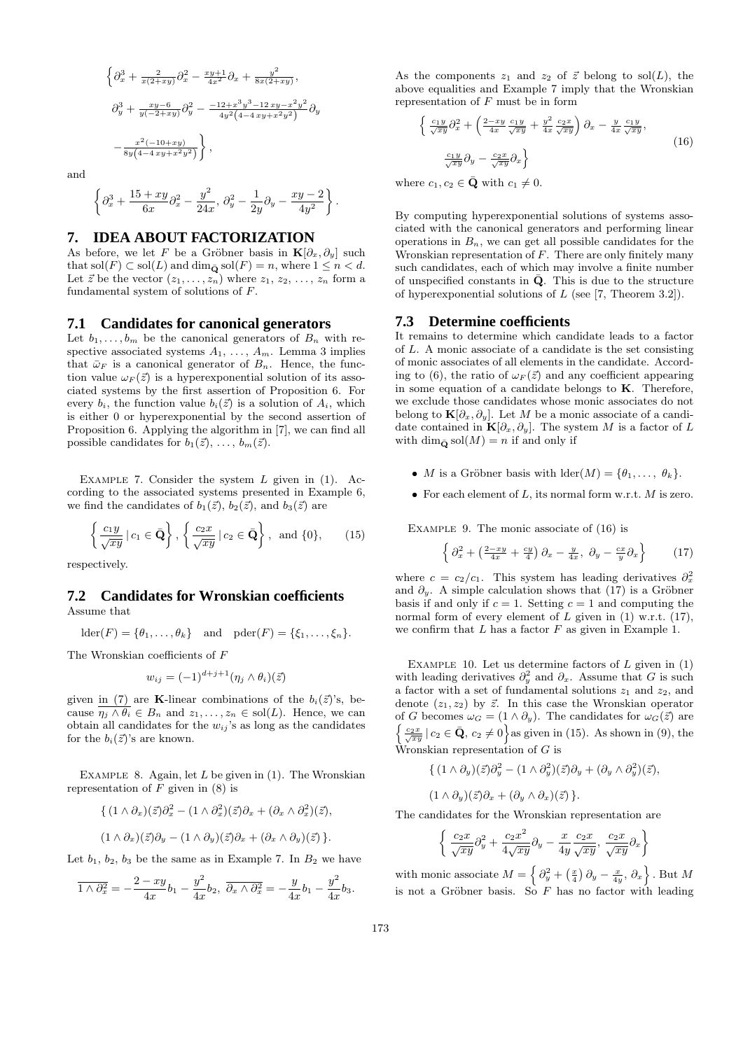$$
\left\{\partial_x^3 + \frac{2}{x(2+xy)}\partial_x^2 - \frac{xy+1}{4x^2}\partial_x + \frac{y^2}{8x(2+xy)},\right\}
$$
  

$$
\partial_y^3 + \frac{xy-6}{y(-2+xy)}\partial_y^2 - \frac{-12+x^3y^3-12xy-x^2y^2}{4y^2(4-4xy+x^2y^2)}\partial_y
$$
  

$$
-\frac{x^2(-10+xy)}{8y(4-4xy+x^2y^2)}\right\},
$$

and

$$
\left\{\partial_x^3+\frac{15+xy}{6x}\partial_x^2-\frac{y^2}{24x},\,\partial_y^2-\frac{1}{2y}\partial_y-\frac{xy-2}{4y^2}\right\}.
$$

## **7. IDEA ABOUT FACTORIZATION**

As before, we let F be a Gröbner basis in  $\mathbf{K}[\partial_x, \partial_y]$  such that  $\text{sol}(F) \subset \text{sol}(L)$  and  $\dim_{\bar{\mathbf{Q}}} \text{sol}(F) = n$ , where  $1 \leq n < d$ . Let  $\vec{z}$  be the vector  $(z_1, \ldots, z_n)$  where  $z_1, z_2, \ldots, z_n$  form a fundamental system of solutions of F.

## **7.1 Candidates for canonical generators**

Let  $b_1, \ldots, b_m$  be the canonical generators of  $B_n$  with respective associated systems  $A_1, \ldots, A_m$ . Lemma 3 implies that  $\bar{\omega}_F$  is a canonical generator of  $B_n$ . Hence, the function value  $\omega_F(\vec{z})$  is a hyperexponential solution of its associated systems by the first assertion of Proposition 6. For every  $b_i$ , the function value  $b_i(\vec{z})$  is a solution of  $A_i$ , which is either 0 or hyperexponential by the second assertion of Proposition 6. Applying the algorithm in [7], we can find all possible candidates for  $b_1(\vec{z}), \ldots, b_m(\vec{z}).$ 

EXAMPLE 7. Consider the system  $L$  given in (1). According to the associated systems presented in Example 6, we find the candidates of  $b_1(\vec{z})$ ,  $b_2(\vec{z})$ , and  $b_3(\vec{z})$  are

$$
\left\{\frac{c_1y}{\sqrt{xy}}\,|\,c_1\in\bar{\mathbf{Q}}\right\},\,\left\{\frac{c_2x}{\sqrt{xy}}\,|\,c_2\in\bar{\mathbf{Q}}\right\},\text{ and }\{0\},\qquad(15)
$$

respectively.

## **7.2 Candidates for Wronskian coefficients** Assume that

$$
lder(F) = \{\theta_1, \dots, \theta_k\} \text{ and } pder(F) = \{\xi_1, \dots, \xi_n\}.
$$

The Wronskian coefficients of F

$$
w_{ij} = (-1)^{d+j+1} (\eta_j \wedge \theta_i)(\vec{z})
$$

given in (7) are K-linear combinations of the  $b_i(\vec{z})$ 's, because  $\eta_j \wedge \theta_i \in B_n$  and  $z_1, \ldots, z_n \in sol(L)$ . Hence, we can obtain all candidates for the  $w_{ij}$ 's as long as the candidates for the  $b_i(\vec{z})$ 's are known.

EXAMPLE 8. Again, let  $L$  be given in  $(1)$ . The Wronskian representation of  $F$  given in  $(8)$  is

$$
\{ (1 \wedge \partial_x)(\vec{z}) \partial_x^2 - (1 \wedge \partial_x^2)(\vec{z}) \partial_x + (\partial_x \wedge \partial_x^2)(\vec{z}),
$$
  

$$
(1 \wedge \partial_x)(\vec{z}) \partial_y - (1 \wedge \partial_y)(\vec{z}) \partial_x + (\partial_x \wedge \partial_y)(\vec{z}) \}.
$$

Let  $b_1$ ,  $b_2$ ,  $b_3$  be the same as in Example 7. In  $B_2$  we have

$$
\overline{1 \wedge \partial_x^2} = -\frac{2-xy}{4x}b_1 - \frac{y^2}{4x}b_2, \ \overline{\partial_x \wedge \partial_x^2} = -\frac{y}{4x}b_1 - \frac{y^2}{4x}b_3.
$$

As the components  $z_1$  and  $z_2$  of  $\vec{z}$  belong to sol(L), the above equalities and Example 7 imply that the Wronskian representation of  $F$  must be in form

$$
\left\{\frac{c_1 y}{\sqrt{xy}}\partial_x^2 + \left(\frac{2-xy}{4x}\frac{c_1 y}{\sqrt{xy}} + \frac{y^2}{4x}\frac{c_2 x}{\sqrt{xy}}\right)\partial_x - \frac{y}{4x}\frac{c_1 y}{\sqrt{xy}},\right\}
$$
\n
$$
\frac{c_1 y}{\sqrt{xy}}\partial_y - \frac{c_2 x}{\sqrt{xy}}\partial_x\right\}
$$
\n(16)

where  $c_1, c_2 \in \bar{Q}$  with  $c_1 \neq 0$ .

By computing hyperexponential solutions of systems associated with the canonical generators and performing linear operations in  $B_n$ , we can get all possible candidates for the Wronskian representation of  $F$ . There are only finitely many such candidates, each of which may involve a finite number of unspecified constants in  $\bar{Q}$ . This is due to the structure of hyperexponential solutions of  $L$  (see [7, Theorem 3.2]).

## **7.3 Determine coefficients**

It remains to determine which candidate leads to a factor of L. A monic associate of a candidate is the set consisting of monic associates of all elements in the candidate. According to (6), the ratio of  $\omega_F(\vec{z})$  and any coefficient appearing in some equation of a candidate belongs to  $K$ . Therefore, we exclude those candidates whose monic associates do not belong to  $\mathbf{K}[\partial_x, \partial_y]$ . Let M be a monic associate of a candidate contained in  $\mathbf{K}[\partial_x, \partial_y]$ . The system M is a factor of L with dim<sub> $\bar{\mathbf{o}}$ </sub> sol $(M) = n$  if and only if

- M is a Gröbner basis with  $\text{lder}(M) = \{\theta_1, \ldots, \theta_k\}.$
- For each element of L, its normal form w.r.t.  $M$  is zero.

EXAMPLE 9. The monic associate of  $(16)$  is

$$
\left\{\partial_x^2 + \left(\frac{2-xy}{4x} + \frac{cy}{4}\right)\partial_x - \frac{y}{4x}, \ \partial_y - \frac{cx}{y}\partial_x\right\} \tag{17}
$$

where  $c = c_2/c_1$ . This system has leading derivatives  $\partial_x^2$ and  $\partial_y$ . A simple calculation shows that (17) is a Gröbner basis if and only if  $c = 1$ . Setting  $c = 1$  and computing the normal form of every element of  $L$  given in (1) w.r.t. (17), we confirm that  $L$  has a factor  $F$  as given in Example 1.

EXAMPLE 10. Let us determine factors of  $L$  given in  $(1)$ with leading derivatives  $\partial_y^2$  and  $\partial_x$ . Assume that G is such a factor with a set of fundamental solutions  $z_1$  and  $z_2$ , and denote  $(z_1, z_2)$  by  $\vec{z}$ . In this case the Wronskian operator of G becomes  $\omega_G = (1 \wedge \partial_y)$ . The candidates for  $\omega_G(\vec{z})$  are  $\left\{\frac{c_2x}{\sqrt{xy}}\,|\,c_2\in\bar{\mathbf{Q}},\,c_2\neq0\right\}$  as given in (15). As shown in (9), the Wronskian representation of  $G$  is

$$
\{ (1 \wedge \partial_y)(\vec{z}) \partial_y^2 - (1 \wedge \partial_y^2)(\vec{z}) \partial_y + (\partial_y \wedge \partial_y^2)(\vec{z}),
$$
  

$$
(1 \wedge \partial_y)(\vec{z}) \partial_x + (\partial_y \wedge \partial_x)(\vec{z}) \}.
$$

The candidates for the Wronskian representation are

$$
\left\{\frac{c_2x}{\sqrt{xy}}\partial_y^2 + \frac{c_2x^2}{4\sqrt{xy}}\partial_y - \frac{x}{4y}\frac{c_2x}{\sqrt{xy}}, \frac{c_2x}{\sqrt{xy}}\partial_x\right\}
$$

with monic associate  $M = \left\{\partial_y^2 + \left(\frac{x}{4}\right)\partial_y - \frac{x}{4y}, \partial_x\right\}$ . But M is not a Gröbner basis. So  $F$  has no factor with leading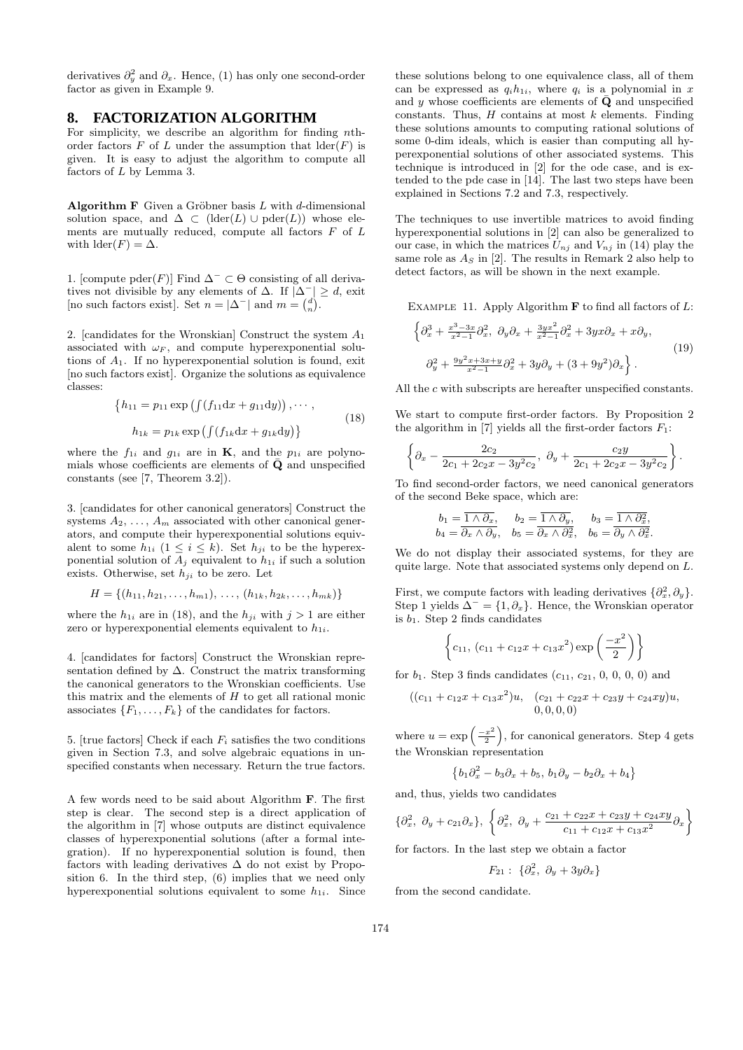derivatives  $\partial_y^2$  and  $\partial_x$ . Hence, (1) has only one second-order factor as given in Example 9.

# **8. FACTORIZATION ALGORITHM**

For simplicity, we describe an algorithm for finding nthorder factors  $F$  of  $L$  under the assumption that  $\text{lder}(F)$  is given. It is easy to adjust the algorithm to compute all factors of L by Lemma 3.

Algorithm F Given a Gröbner basis  $L$  with  $d$ -dimensional solution space, and  $\Delta \subset (\text{lder}(L) \cup \text{pder}(L))$  whose elements are mutually reduced, compute all factors  $F$  of  $L$ with  $\text{lder}(F) = \Delta$ .

1. [compute pder(*F*)] Find  $\Delta$ <sup>−</sup> ⊂ Θ consisting of all derivatives not divisible by any elements of  $\Delta$ . If  $|\Delta^-| \geq d$ , exit [no such factors exist]. Set  $n = |\Delta^-|$  and  $m = \begin{pmatrix} d \\ n \end{pmatrix}$ .

2. [candidates for the Wronskian] Construct the system  $A_1$ associated with  $\omega_F$ , and compute hyperexponential solutions of  $A_1$ . If no hyperexponential solution is found, exit [no such factors exist]. Organize the solutions as equivalence classes:

$$
\{h_{11} = p_{11} \exp\left(\int (f_{11} \mathrm{d}x + g_{11} \mathrm{d}y)\right), \cdots,
$$
  
\n
$$
h_{1k} = p_{1k} \exp\left(\int (f_{1k} \mathrm{d}x + g_{1k} \mathrm{d}y)\right)
$$
\n(18)

where the  $f_{1i}$  and  $g_{1i}$  are in **K**, and the  $p_{1i}$  are polynomials whose coefficients are elements of  $\bar{\mathbf{Q}}$  and unspecified constants (see [7, Theorem 3.2]).

3. [candidates for other canonical generators] Construct the systems  $A_2, \ldots, A_m$  associated with other canonical generators, and compute their hyperexponential solutions equivalent to some  $h_{1i}$   $(1 \leq i \leq k)$ . Set  $h_{ji}$  to be the hyperexponential solution of  $A_j$  equivalent to  $h_{1i}$  if such a solution exists. Otherwise, set  $h_{ii}$  to be zero. Let

$$
H = \{(h_{11}, h_{21}, \ldots, h_{m1}), \ldots, (h_{1k}, h_{2k}, \ldots, h_{mk})\}
$$

where the  $h_{1i}$  are in (18), and the  $h_{ji}$  with  $j > 1$  are either zero or hyperexponential elements equivalent to  $h_{1i}$ .

4. [candidates for factors] Construct the Wronskian representation defined by  $\Delta$ . Construct the matrix transforming the canonical generators to the Wronskian coefficients. Use this matrix and the elements of  $H$  to get all rational monic associates  $\{F_1, \ldots, F_k\}$  of the candidates for factors.

5. [true factors] Check if each  $F_i$  satisfies the two conditions given in Section 7.3, and solve algebraic equations in unspecified constants when necessary. Return the true factors.

A few words need to be said about Algorithm F. The first step is clear. The second step is a direct application of the algorithm in [7] whose outputs are distinct equivalence classes of hyperexponential solutions (after a formal integration). If no hyperexponential solution is found, then factors with leading derivatives  $\Delta$  do not exist by Proposition 6. In the third step, (6) implies that we need only hyperexponential solutions equivalent to some  $h_{1i}$ . Since

these solutions belong to one equivalence class, all of them can be expressed as  $q_i h_{1i}$ , where  $q_i$  is a polynomial in x and y whose coefficients are elements of  $\bar{Q}$  and unspecified constants. Thus,  $H$  contains at most  $k$  elements. Finding these solutions amounts to computing rational solutions of some 0-dim ideals, which is easier than computing all hyperexponential solutions of other associated systems. This technique is introduced in [2] for the ode case, and is extended to the pde case in [14]. The last two steps have been explained in Sections 7.2 and 7.3, respectively.

The techniques to use invertible matrices to avoid finding hyperexponential solutions in [2] can also be generalized to our case, in which the matrices  $U_{nj}$  and  $V_{nj}$  in (14) play the same role as  $A<sub>S</sub>$  in [2]. The results in Remark 2 also help to detect factors, as will be shown in the next example.

EXAMPLE 11. Apply Algorithm  $\bf{F}$  to find all factors of  $L$ :

$$
\left\{\partial_x^3 + \frac{x^3 - 3x}{x^2 - 1}\partial_x^2, \ \partial_y \partial_x + \frac{3yx^2}{x^2 - 1}\partial_x^2 + 3yx\partial_x + x\partial_y, \right.
$$
  

$$
\left.\partial_y^2 + \frac{9y^2x + 3x + y}{x^2 - 1}\partial_x^2 + 3y\partial_y + (3 + 9y^2)\partial_x\right\}.
$$
 (19)

All the  $c$  with subscripts are hereafter unspecified constants.

We start to compute first-order factors. By Proposition 2 the algorithm in [7] yields all the first-order factors  $F_1$ :

$$
\left\{\partial_x - \frac{2c_2}{2c_1 + 2c_2x - 3y^2c_2}, \ \partial_y + \frac{c_2y}{2c_1 + 2c_2x - 3y^2c_2}\right\}.
$$

To find second-order factors, we need canonical generators of the second Beke space, which are:

$$
b_1 = \overline{1 \wedge \partial_x}, \quad b_2 = \overline{1 \wedge \partial_y}, \quad b_3 = \overline{1 \wedge \partial_x^2},
$$
  

$$
b_4 = \overline{\partial_x \wedge \partial_y}, \quad b_5 = \overline{\partial_x \wedge \partial_x^2}, \quad b_6 = \overline{\partial_y \wedge \partial_x^2}.
$$

We do not display their associated systems, for they are quite large. Note that associated systems only depend on L.

First, we compute factors with leading derivatives  $\{\partial_x^2, \partial_y\}.$ Step 1 yields  $\Delta^- = \{1, \partial_x\}$ . Hence, the Wronskian operator is  $b_1$ . Step 2 finds candidates

$$
\left\{c_{11}, (c_{11} + c_{12}x + c_{13}x^2) \exp\left(\frac{-x^2}{2}\right)\right\}
$$

for  $b_1$ . Step 3 finds candidates  $(c_{11}, c_{21}, 0, 0, 0, 0)$  and

$$
((c_{11} + c_{12}x + c_{13}x^2)u, (c_{21} + c_{22}x + c_{23}y + c_{24}xy)u,
$$
  
0, 0, 0, 0)

where  $u = \exp\left(\frac{-x^2}{2}\right)$  $\left(\frac{x^2}{2}\right)$ , for canonical generators. Step 4 gets the Wronskian representation

$$
\left\{b_1\partial_x^2 - b_3\partial_x + b_5, \, b_1\partial_y - b_2\partial_x + b_4\right\}
$$

and, thus, yields two candidates

$$
\{\partial_x^2, \ \partial_y + c_{21}\partial_x\}, \ \left\{\partial_x^2, \ \partial_y + \frac{c_{21} + c_{22}x + c_{23}y + c_{24}xy}{c_{11} + c_{12}x + c_{13}x^2}\partial_x\right\}
$$

for factors. In the last step we obtain a factor

$$
F_{21}:\;\{\partial_x^2,\;\partial_y+3y\partial_x\}
$$

from the second candidate.